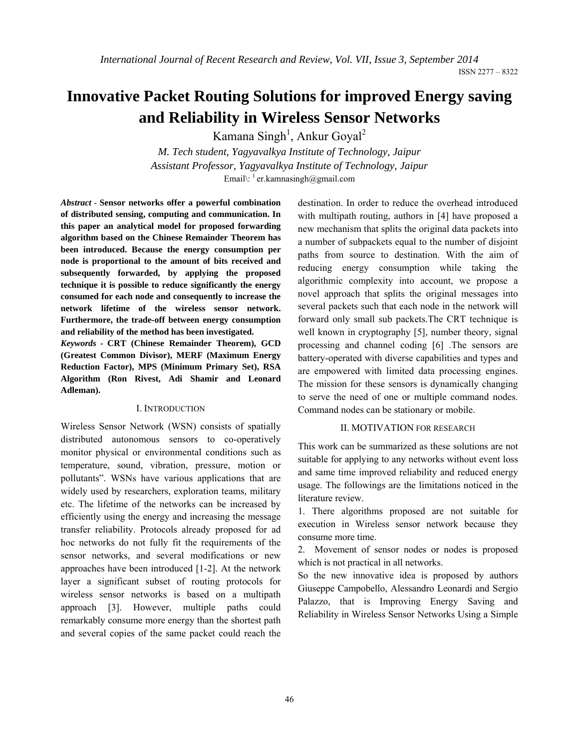ISSN 2277 – 8322

# **Innovative Packet Routing Solutions for improved Energy saving and Reliability in Wireless Sensor Networks**

Kamana Singh<sup>1</sup>, Ankur Goyal<sup>2</sup>

*M. Tech student, Yagyavalkya Institute of Technology, Jaipur Assistant Professor, Yagyavalkya Institute of Technology, Jaipur* Email $\binom{1}{1}$ er.kamnasingh@gmail.com

*Abstract -* **Sensor networks offer a powerful combination of distributed sensing, computing and communication. In this paper an analytical model for proposed forwarding algorithm based on the Chinese Remainder Theorem has been introduced. Because the energy consumption per node is proportional to the amount of bits received and subsequently forwarded, by applying the proposed technique it is possible to reduce significantly the energy consumed for each node and consequently to increase the network lifetime of the wireless sensor network. Furthermore, the trade-off between energy consumption and reliability of the method has been investigated.** 

*Keywords -* **CRT (Chinese Remainder Theorem), GCD (Greatest Common Divisor), MERF (Maximum Energy Reduction Factor), MPS (Minimum Primary Set), RSA Algorithm (Ron Rivest, Adi Shamir and Leonard Adleman).** 

# I. INTRODUCTION

Wireless Sensor Network (WSN) consists of spatially distributed autonomous sensors to co-operatively monitor physical or environmental conditions such as temperature, sound, vibration, pressure, motion or pollutants". WSNs have various applications that are widely used by researchers, exploration teams, military etc. The lifetime of the networks can be increased by efficiently using the energy and increasing the message transfer reliability. Protocols already proposed for ad hoc networks do not fully fit the requirements of the sensor networks, and several modifications or new approaches have been introduced [1-2]. At the network layer a significant subset of routing protocols for wireless sensor networks is based on a multipath approach [3]. However, multiple paths could remarkably consume more energy than the shortest path and several copies of the same packet could reach the

destination. In order to reduce the overhead introduced with multipath routing, authors in [4] have proposed a new mechanism that splits the original data packets into a number of subpackets equal to the number of disjoint paths from source to destination. With the aim of reducing energy consumption while taking the algorithmic complexity into account, we propose a novel approach that splits the original messages into several packets such that each node in the network will forward only small sub packets.The CRT technique is well known in cryptography [5], number theory, signal processing and channel coding [6] .The sensors are battery-operated with diverse capabilities and types and are empowered with limited data processing engines. The mission for these sensors is dynamically changing to serve the need of one or multiple command nodes. Command nodes can be stationary or mobile.

# II. MOTIVATION FOR RESEARCH

This work can be summarized as these solutions are not suitable for applying to any networks without event loss and same time improved reliability and reduced energy usage. The followings are the limitations noticed in the literature review.

1. There algorithms proposed are not suitable for execution in Wireless sensor network because they consume more time.

2. Movement of sensor nodes or nodes is proposed which is not practical in all networks.

So the new innovative idea is proposed by authors Giuseppe Campobello, Alessandro Leonardi and Sergio Palazzo, that is Improving Energy Saving and Reliability in Wireless Sensor Networks Using a Simple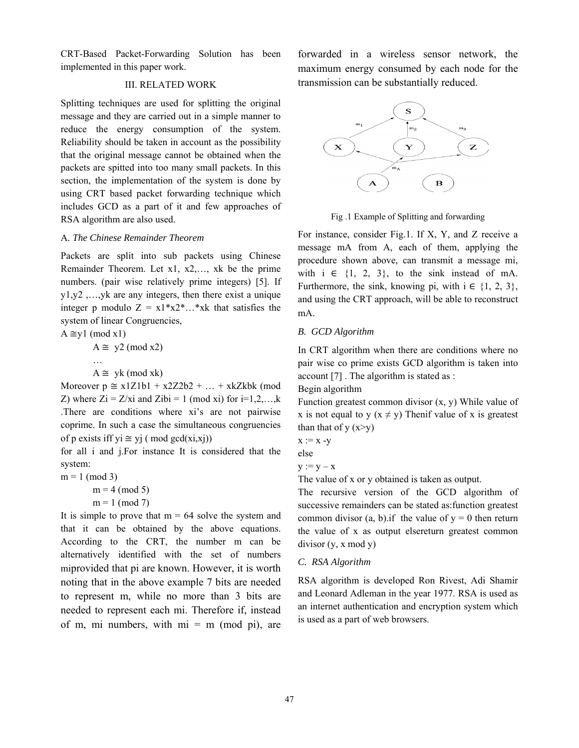CRT-Based Packet-Forwarding Solution has been implemented in this paper work.

# III. RELATED WORK

Splitting techniques are used for splitting the original message and they are carried out in a simple manner to reduce the energy consumption of the system. Reliability should be taken in account as the possibility that the original message cannot be obtained when the packets are spitted into too many small packets. In this section, the implementation of the system is done by using CRT based packet forwarding technique which includes GCD as a part of it and few approaches of RSA algorithm are also used.

#### A*. The Chinese Remainder Theorem*

Packets are split into sub packets using Chinese Remainder Theorem. Let x1, x2,…, xk be the prime numbers. (pair wise relatively prime integers) [5]. If y1,y2 ,…,yk are any integers, then there exist a unique integer p modulo  $Z = x1*x2*x$ ...\*xk that satisfies the system of linear Congruencies,

 $A \cong y1 \pmod{x1}$  $A \cong y2 \pmod{x2}$ …  $A \cong yk \pmod{xk}$ 

Moreover  $p \approx x1Z1b1 + x2Z2b2 + ... + xkZkbk$  (mod Z) where  $Z_i = Z/x_i$  and  $Zibi = 1 \pmod{x_i}$  for  $i=1,2,...,k$ .There are conditions where xi's are not pairwise coprime. In such a case the simultaneous congruencies of p exists iff yi  $\cong$  yj ( mod gcd(xi,xj))

for all i and j.For instance It is considered that the system:

 $m = 1 \pmod{3}$  $m = 4 \pmod{5}$  $m = 1 \pmod{7}$ 

It is simple to prove that  $m = 64$  solve the system and that it can be obtained by the above equations. According to the CRT, the number m can be alternatively identified with the set of numbers miprovided that pi are known. However, it is worth noting that in the above example 7 bits are needed to represent m, while no more than 3 bits are needed to represent each mi. Therefore if, instead of m, mi numbers, with  $mi = m$  (mod pi), are

forwarded in a wireless sensor network, the maximum energy consumed by each node for the transmission can be substantially reduced.



Fig .1 Example of Splitting and forwarding

For instance, consider Fig.1. If X, Y, and Z receive a message mA from A, each of them, applying the procedure shown above, can transmit a message mi, with  $i \in \{1, 2, 3\}$ , to the sink instead of mA. Furthermore, the sink, knowing pi, with  $i \in \{1, 2, 3\}$ , and using the CRT approach, will be able to reconstruct mA.

# *B. GCD Algorithm*

In CRT algorithm when there are conditions where no pair wise co prime exists GCD algorithm is taken into account [7] . The algorithm is stated as :

# Begin algorithm

Function greatest common divisor (x, y) While value of x is not equal to y  $(x \neq y)$  Then if value of x is greatest than that of  $y(x>y)$ 

$$
x := x - y
$$

else

 $y := y - x$ 

The value of x or y obtained is taken as output.

The recursive version of the GCD algorithm of successive remainders can be stated as:function greatest common divisor  $(a, b)$ . if the value of  $y = 0$  then return the value of x as output elsereturn greatest common divisor (y, x mod y)

## *C. RSA Algorithm*

RSA algorithm is developed Ron Rivest, Adi Shamir and Leonard Adleman in the year 1977. RSA is used as an internet authentication and encryption system which is used as a part of web browsers.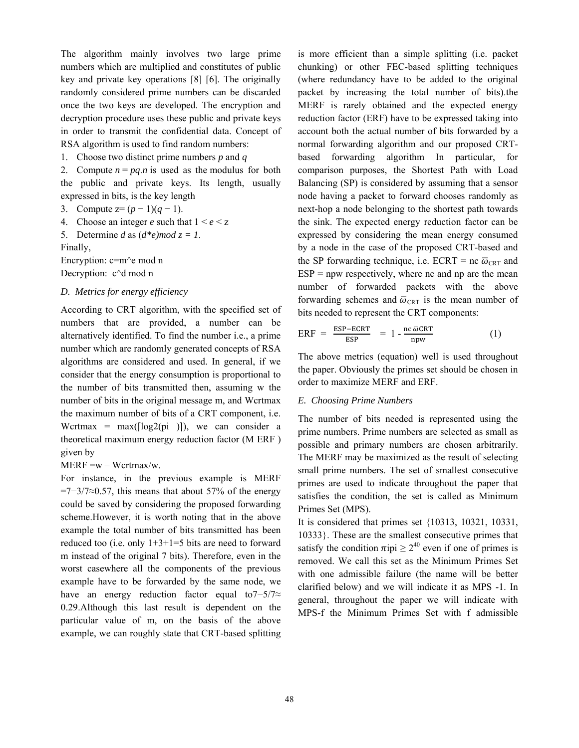The algorithm mainly involves two large prime numbers which are multiplied and constitutes of public key and private key operations [8] [6]. The originally randomly considered prime numbers can be discarded once the two keys are developed. The encryption and decryption procedure uses these public and private keys in order to transmit the confidential data. Concept of RSA algorithm is used to find random numbers:

1. Choose two distinct prime numbers *p* and *q*

2. Compute  $n = pq.n$  is used as the modulus for both the public and private keys. Its length, usually expressed in bits, is the key length

3. Compute  $z=(p-1)(q-1)$ .

4. Choose an integer *e* such that  $1 \le e \le z$ 

5. Determine *d* as  $(d*e)$ *mod*  $z = 1$ .

Finally,

Encryption: c=m^e mod n

Decryption: c<sup> $\land$ </sup>d mod n

# *D. Metrics for energy efficiency*

According to CRT algorithm, with the specified set of numbers that are provided, a number can be alternatively identified. To find the number i.e., a prime number which are randomly generated concepts of RSA algorithms are considered and used. In general, if we consider that the energy consumption is proportional to the number of bits transmitted then, assuming w the number of bits in the original message m, and Wcrtmax the maximum number of bits of a CRT component, i.e. Wertmax =  $max([log2(pi)])$ , we can consider a theoretical maximum energy reduction factor (M ERF ) given by

#### $MERF = w - Wcrtmax/w.$

For instance, in the previous example is MERF  $=7-3/7 \approx 0.57$ , this means that about 57% of the energy could be saved by considering the proposed forwarding scheme.However, it is worth noting that in the above example the total number of bits transmitted has been reduced too (i.e. only  $1+3+1=5$  bits are need to forward m instead of the original 7 bits). Therefore, even in the worst casewhere all the components of the previous example have to be forwarded by the same node, we have an energy reduction factor equal to7−5/7≈ 0.29.Although this last result is dependent on the particular value of m, on the basis of the above example, we can roughly state that CRT-based splitting

is more efficient than a simple splitting (i.e. packet chunking) or other FEC-based splitting techniques (where redundancy have to be added to the original packet by increasing the total number of bits).the MERF is rarely obtained and the expected energy reduction factor (ERF) have to be expressed taking into account both the actual number of bits forwarded by a normal forwarding algorithm and our proposed CRTbased forwarding algorithm In particular, for comparison purposes, the Shortest Path with Load Balancing (SP) is considered by assuming that a sensor node having a packet to forward chooses randomly as next-hop a node belonging to the shortest path towards the sink. The expected energy reduction factor can be expressed by considering the mean energy consumed by a node in the case of the proposed CRT-based and the SP forwarding technique, i.e. ECRT = nc  $\overline{\omega}_{\text{CRT}}$  and  $ESP = npw$  respectively, where nc and np are the mean number of forwarded packets with the above forwarding schemes and  $\overline{\omega}_{\text{CRT}}$  is the mean number of bits needed to represent the CRT components:

$$
ERF = \frac{ESP - ECRT}{ESP} = 1 - \frac{nc \bar{\omega}CRT}{npw}
$$
 (1)

The above metrics (equation) well is used throughout the paper. Obviously the primes set should be chosen in order to maximize MERF and ERF.

#### *E. Choosing Prime Numbers*

The number of bits needed is represented using the prime numbers. Prime numbers are selected as small as possible and primary numbers are chosen arbitrarily. The MERF may be maximized as the result of selecting small prime numbers. The set of smallest consecutive primes are used to indicate throughout the paper that satisfies the condition, the set is called as Minimum Primes Set (MPS).

It is considered that primes set {10313, 10321, 10331, 10333}. These are the smallest consecutive primes that satisfy the condition  $\pi$ ipi  $\geq 2^{40}$  even if one of primes is removed. We call this set as the Minimum Primes Set with one admissible failure (the name will be better clarified below) and we will indicate it as MPS -1. In general, throughout the paper we will indicate with MPS-f the Minimum Primes Set with f admissible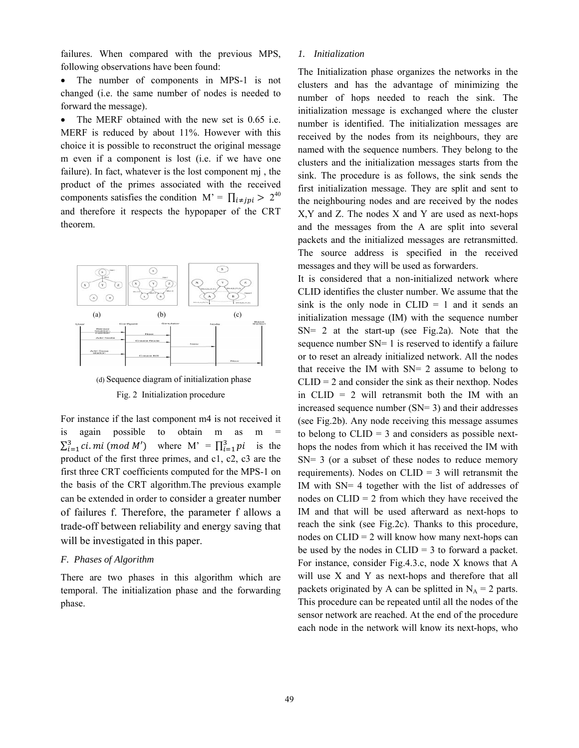failures. When compared with the previous MPS, following observations have been found:

• The number of components in MPS-1 is not changed (i.e. the same number of nodes is needed to forward the message).

• The MERF obtained with the new set is 0.65 i.e. MERF is reduced by about 11%. However with this choice it is possible to reconstruct the original message m even if a component is lost (i.e. if we have one failure). In fact, whatever is the lost component mj , the product of the primes associated with the received components satisfies the condition M' =  $\prod_{i \neq j}$  > 2<sup>40</sup> and therefore it respects the hypopaper of the CRT theorem.



(d) Sequence diagram of initialization phase

## Fig. 2 Initialization procedure

For instance if the last component m4 is not received it is again possible to obtain m as m  $\sum_{i=1}^{3}$  ci. mi (mod M') where M' =  $\prod_{i=1}^{3}$  pi is the product of the first three primes, and c1, c2, c3 are the first three CRT coefficients computed for the MPS-1 on the basis of the CRT algorithm.The previous example can be extended in order to consider a greater number of failures f. Therefore, the parameter f allows a trade-off between reliability and energy saving that will be investigated in this paper.

#### *F. Phases of Algorithm*

There are two phases in this algorithm which are temporal. The initialization phase and the forwarding phase.

#### *1. Initialization*

The Initialization phase organizes the networks in the clusters and has the advantage of minimizing the number of hops needed to reach the sink. The initialization message is exchanged where the cluster number is identified. The initialization messages are received by the nodes from its neighbours, they are named with the sequence numbers. They belong to the clusters and the initialization messages starts from the sink. The procedure is as follows, the sink sends the first initialization message. They are split and sent to the neighbouring nodes and are received by the nodes X,Y and Z. The nodes X and Y are used as next-hops and the messages from the A are split into several packets and the initialized messages are retransmitted. The source address is specified in the received messages and they will be used as forwarders.

It is considered that a non-initialized network where CLID identifies the cluster number. We assume that the sink is the only node in  $CLID = 1$  and it sends an initialization message (IM) with the sequence number  $SN = 2$  at the start-up (see Fig.2a). Note that the sequence number SN= 1 is reserved to identify a failure or to reset an already initialized network. All the nodes that receive the IM with SN= 2 assume to belong to  $CLID = 2$  and consider the sink as their nexthop. Nodes in CLID = 2 will retransmit both the IM with an increased sequence number (SN= 3) and their addresses (see Fig.2b). Any node receiving this message assumes to belong to  $CLID = 3$  and considers as possible nexthops the nodes from which it has received the IM with  $SN = 3$  (or a subset of these nodes to reduce memory requirements). Nodes on CLID = 3 will retransmit the IM with SN= 4 together with the list of addresses of nodes on  $CLID = 2$  from which they have received the IM and that will be used afterward as next-hops to reach the sink (see Fig.2c). Thanks to this procedure, nodes on  $CLID = 2$  will know how many next-hops can be used by the nodes in  $CLID = 3$  to forward a packet. For instance, consider Fig.4.3.c, node X knows that A will use X and Y as next-hops and therefore that all packets originated by A can be splitted in  $N_A = 2$  parts. This procedure can be repeated until all the nodes of the sensor network are reached. At the end of the procedure each node in the network will know its next-hops, who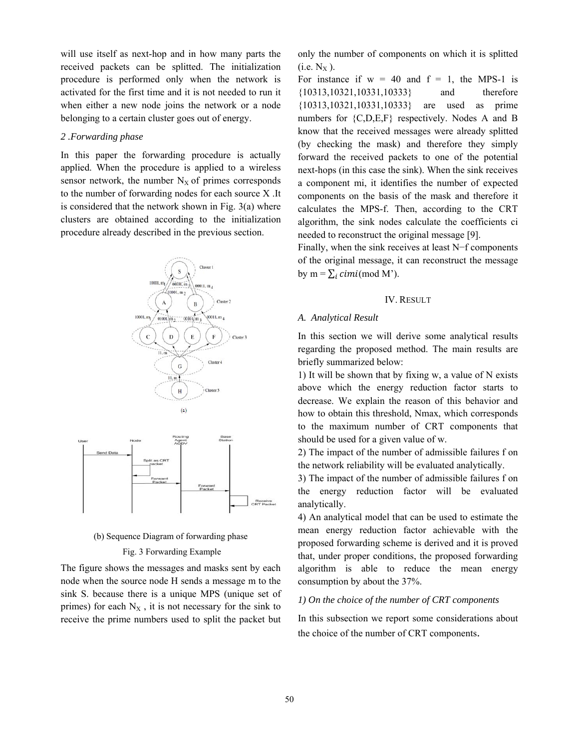will use itself as next-hop and in how many parts the received packets can be splitted. The initialization procedure is performed only when the network is activated for the first time and it is not needed to run it when either a new node joins the network or a node belonging to a certain cluster goes out of energy.

# *2 .Forwarding phase*

In this paper the forwarding procedure is actually applied. When the procedure is applied to a wireless sensor network, the number  $N_X$  of primes corresponds to the number of forwarding nodes for each source X .It is considered that the network shown in Fig. 3(a) where clusters are obtained according to the initialization procedure already described in the previous section.





# Fig. 3 Forwarding Example

The figure shows the messages and masks sent by each node when the source node H sends a message m to the sink S. because there is a unique MPS (unique set of primes) for each  $N_X$ , it is not necessary for the sink to receive the prime numbers used to split the packet but

only the number of components on which it is splitted  $(i.e. N<sub>X</sub>)$ .

For instance if  $w = 40$  and  $f = 1$ , the MPS-1 is {10313,10321,10331,10333} and therefore {10313,10321,10331,10333} are used as prime numbers for {C,D,E,F} respectively. Nodes A and B know that the received messages were already splitted (by checking the mask) and therefore they simply forward the received packets to one of the potential next-hops (in this case the sink). When the sink receives a component mi, it identifies the number of expected components on the basis of the mask and therefore it calculates the MPS-f. Then, according to the CRT algorithm, the sink nodes calculate the coefficients ci needed to reconstruct the original message [9].

Finally, when the sink receives at least N−f components of the original message, it can reconstruct the message by  $m = \sum_i cimi \pmod{M'}$ .

#### IV. RESULT

#### *A. Analytical Result*

In this section we will derive some analytical results regarding the proposed method. The main results are briefly summarized below:

1) It will be shown that by fixing w, a value of N exists above which the energy reduction factor starts to decrease. We explain the reason of this behavior and how to obtain this threshold, Nmax, which corresponds to the maximum number of CRT components that should be used for a given value of w.

2) The impact of the number of admissible failures f on the network reliability will be evaluated analytically.

3) The impact of the number of admissible failures f on the energy reduction factor will be evaluated analytically.

4) An analytical model that can be used to estimate the mean energy reduction factor achievable with the proposed forwarding scheme is derived and it is proved that, under proper conditions, the proposed forwarding algorithm is able to reduce the mean energy consumption by about the 37%.

# *1) On the choice of the number of CRT components*

In this subsection we report some considerations about the choice of the number of CRT components.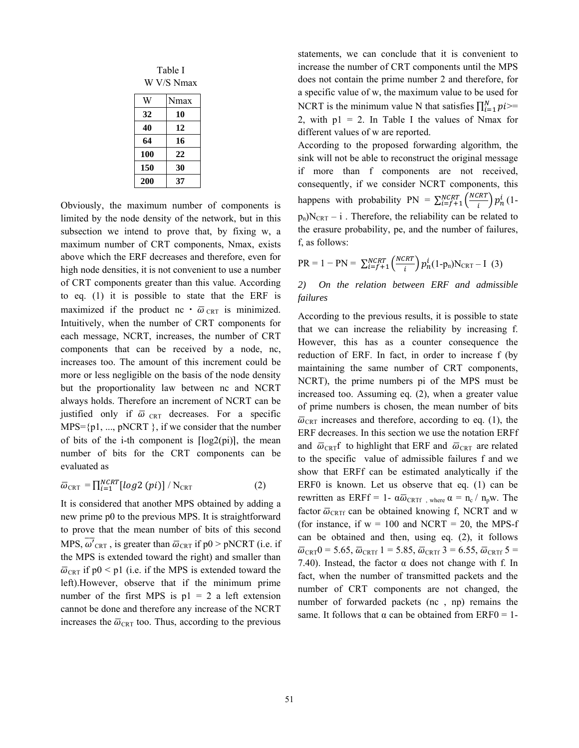Table I W V/S Nmax

| W   | Nmax |
|-----|------|
| 32  | 10   |
| 40  | 12   |
| 64  | 16   |
| 100 | 22   |
| 150 | 30   |
| 200 | 37   |

Obviously, the maximum number of components is limited by the node density of the network, but in this subsection we intend to prove that, by fixing w, a maximum number of CRT components, Nmax, exists above which the ERF decreases and therefore, even for high node densities, it is not convenient to use a number of CRT components greater than this value. According to eq. (1) it is possible to state that the ERF is maximized if the product nc  $\cdot$   $\bar{\omega}_{CRT}$  is minimized. Intuitively, when the number of CRT components for each message, NCRT, increases, the number of CRT components that can be received by a node, nc, increases too. The amount of this increment could be more or less negligible on the basis of the node density but the proportionality law between nc and NCRT always holds. Therefore an increment of NCRT can be justified only if  $\overline{\omega}_{\text{CRT}}$  decreases. For a specific  $MPS = {p1, ..., pNCRT}$ , if we consider that the number of bits of the i-th component is  $[\log 2(p_i)]$ , the mean number of bits for the CRT components can be evaluated as

$$
\overline{\omega}_{\text{CRT}} = \prod_{i=1}^{NCRT} [log2(pi)] / N_{\text{CRT}} \tag{2}
$$

It is considered that another MPS obtained by adding a new prime p0 to the previous MPS. It is straightforward to prove that the mean number of bits of this second MPS,  $\omega'_{\text{CRT}}$ , is greater than  $\overline{\omega}_{\text{CRT}}$  if  $p0 > pNCRT$  (i.e. if the MPS is extended toward the right) and smaller than  $\overline{\omega}_{CRT}$  if p0 < p1 (i.e. if the MPS is extended toward the left).However, observe that if the minimum prime number of the first MPS is  $p1 = 2$  a left extension cannot be done and therefore any increase of the NCRT increases the  $\overline{\omega}_{\text{CRT}}$  too. Thus, according to the previous

statements, we can conclude that it is convenient to increase the number of CRT components until the MPS does not contain the prime number 2 and therefore, for a specific value of w, the maximum value to be used for NCRT is the minimum value N that satisfies  $\prod_{i=1}^{N}pi$ >= 2, with  $p1 = 2$ . In Table I the values of Nmax for different values of w are reported.

According to the proposed forwarding algorithm, the sink will not be able to reconstruct the original message if more than f components are not received, consequently, if we consider NCRT components, this happens with probability  $PN = \sum_{i=f+1}^{NCRT} \left(\frac{NCRT}{i}\right) p_n^i$  (1 $p_n)N_{CRT} - i$ . Therefore, the reliability can be related to the erasure probability, pe, and the number of failures, f, as follows:

$$
PR = 1 - PN = \sum_{i=f+1}^{NCRT} \left( \frac{NCRT}{i} \right) p_n^i (1 - p_n) N_{CRT} - I \tag{3}
$$

# *2) On the relation between ERF and admissible failures*

According to the previous results, it is possible to state that we can increase the reliability by increasing f. However, this has as a counter consequence the reduction of ERF. In fact, in order to increase f (by maintaining the same number of CRT components, NCRT), the prime numbers pi of the MPS must be increased too. Assuming eq. (2), when a greater value of prime numbers is chosen, the mean number of bits  $\overline{\omega}_{CRT}$  increases and therefore, according to eq. (1), the ERF decreases. In this section we use the notation ERFf and  $\overline{\omega}_{CRT}f$  to highlight that ERF and  $\overline{\omega}_{CRT}$  are related to the specific value of admissible failures f and we show that ERFf can be estimated analytically if the ERF0 is known. Let us observe that eq. (1) can be rewritten as ERFf = 1-  $\alpha\overline{\omega}_{CRTf}$ , where  $\alpha = n_c / n_p w$ . The factor  $\overline{\omega}_{CRTf}$  can be obtained knowing f, NCRT and w (for instance, if  $w = 100$  and NCRT = 20, the MPS-f can be obtained and then, using eq. (2), it follows  $\overline{\omega}_{CRT}0$  = 5.65,  $\overline{\omega}_{CRTf}$  1 = 5.85,  $\overline{\omega}_{CRTf}$  3 = 6.55,  $\overline{\omega}_{CRTf}$  5 = 7.40). Instead, the factor  $\alpha$  does not change with f. In fact, when the number of transmitted packets and the number of CRT components are not changed, the number of forwarded packets (nc , np) remains the same. It follows that  $\alpha$  can be obtained from ERF0 = 1-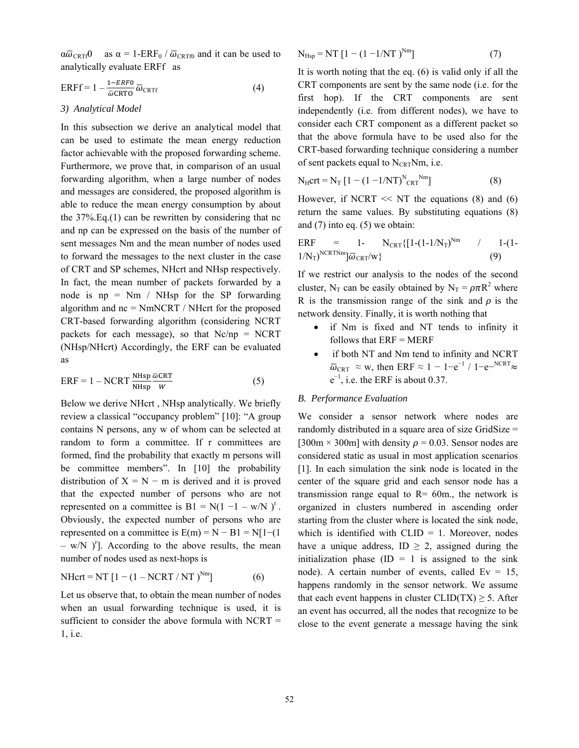$\alpha\overline{\omega}_{CRTf}0$  as  $\alpha = 1-ERF_0 / \overline{\omega}_{CRTf0}$  and it can be used to analytically evaluate ERFf as

$$
ERFf = 1 - \frac{1 - ERF0}{\overline{\omega} \text{CRTG}} \overline{\omega}_{CRTF} \tag{4}
$$

### *3) Analytical Model*

In this subsection we derive an analytical model that can be used to estimate the mean energy reduction factor achievable with the proposed forwarding scheme. Furthermore, we prove that, in comparison of an usual forwarding algorithm, when a large number of nodes and messages are considered, the proposed algorithm is able to reduce the mean energy consumption by about the  $37\%$ . Eq.(1) can be rewritten by considering that nc and np can be expressed on the basis of the number of sent messages Nm and the mean number of nodes used to forward the messages to the next cluster in the case of CRT and SP schemes, NHcrt and NHsp respectively. In fact, the mean number of packets forwarded by a node is  $np = Nm / NHsp$  for the SP forwarding algorithm and nc = NmNCRT / NHcrt for the proposed CRT-based forwarding algorithm (considering NCRT packets for each message), so that Nc/np = NCRT (NHsp/NHcrt) Accordingly, the ERF can be evaluated as

$$
ERF = 1 - NCRT \frac{NHsp}{NHsp} \frac{\overline{\omega}CRT}{W}
$$
 (5)

Below we derive NHcrt , NHsp analytically. We briefly review a classical "occupancy problem" [10]: "A group contains N persons, any w of whom can be selected at random to form a committee. If r committees are formed, find the probability that exactly m persons will be committee members". In [10] the probability distribution of  $X = N - m$  is derived and it is proved that the expected number of persons who are not represented on a committee is  $B1 = N(1 - 1 - w/N)^r$ . Obviously, the expected number of persons who are represented on a committee is  $E(m) = N - B1 = N[1-(1$  $-$  w/N  $)$ <sup>r</sup>]. According to the above results, the mean number of nodes used as next-hops is

$$
NHcrt = NT [1 - (1 - NCRT / NT)^{Nm}]
$$
 (6)

Let us observe that, to obtain the mean number of nodes when an usual forwarding technique is used, it is sufficient to consider the above formula with NCRT = 1, i.e.

$$
N_{Hsp} = NT [1 - (1 - 1/NT)^{Nm}]
$$
 (7)

It is worth noting that the eq. (6) is valid only if all the CRT components are sent by the same node (i.e. for the first hop). If the CRT components are sent independently (i.e. from different nodes), we have to consider each CRT component as a different packet so that the above formula have to be used also for the CRT-based forwarding technique considering a number of sent packets equal to  $N_{CRT}Nm$ , i.e.

$$
N_{\rm H} \text{crt} = N_{\rm T} \left[ 1 - (1 - 1/\rm NT)^{N} \text{cRT}^{N \text{m}} \right] \tag{8}
$$

However, if NCRT  $\ll$  NT the equations (8) and (6) return the same values. By substituting equations (8) and (7) into eq. (5) we obtain:

$$
ERF = 1 - N_{CRT} \{ [1-(1-1/N_T)^{Nm} / 1-(1-1/N_T)^{N} \}
$$
(9)

If we restrict our analysis to the nodes of the second cluster, N<sub>T</sub> can be easily obtained by N<sub>T</sub> =  $\rho \pi R^2$  where R is the transmission range of the sink and  $\rho$  is the network density. Finally, it is worth nothing that

- if Nm is fixed and NT tends to infinity it follows that  $ERF = MERF$
- if both NT and Nm tend to infinity and NCRT  $\overline{\omega}_{CRT}$  ≈ w, then ERF ≈ 1 – 1–e<sup>-1</sup> / 1–e-<sup>NCRT</sup> ≈  $e^{-1}$ , i.e. the ERF is about 0.37.

# *B. Performance Evaluation*

We consider a sensor network where nodes are randomly distributed in a square area of size GridSize = [300m  $\times$  300m] with density  $\rho = 0.03$ . Sensor nodes are considered static as usual in most application scenarios [1]. In each simulation the sink node is located in the center of the square grid and each sensor node has a transmission range equal to  $R = 60$ m., the network is organized in clusters numbered in ascending order starting from the cluster where is located the sink node, which is identified with  $CLID = 1$ . Moreover, nodes have a unique address, ID  $\geq$  2, assigned during the initialization phase  $(ID = 1$  is assigned to the sink node). A certain number of events, called  $Ev = 15$ , happens randomly in the sensor network. We assume that each event happens in cluster CLID(TX)  $\geq$  5. After an event has occurred, all the nodes that recognize to be close to the event generate a message having the sink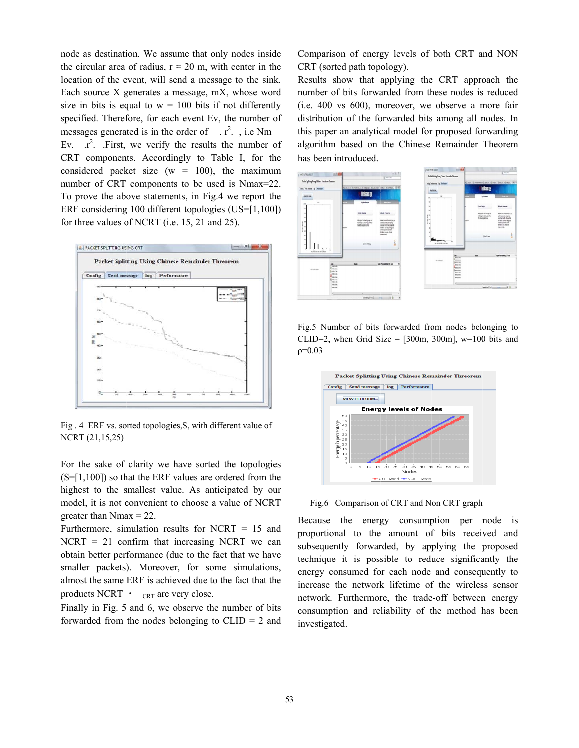nod e as destinati ion. We assu me that only nodes inside the circular area of radius,  $r = 20$  m, with center in the location of the event, will send a message to the sink Each source X generates a message, mX, whose word size in bits is equal to  $w = 100$  bits if not differently specified. Therefore, for each event Ev, the number of messages generated is in the order of  $\therefore$  r<sup>2</sup>. , i.e Nm Ev. CRT components. Accordingly to Table I, for the considered packet size  $(w = 100)$ , the maximum number of CRT components to be used is Nmax=22 To prove the above statements, in Fig.4 we report the ERF considering 100 different topologies (US=[1,100]) for three values of NCRT (i.e.  $15$ ,  $21$  and  $25$ ). The results the number of components. Accordingly to Table I, for the level packet size ( $w = 100$ ), the maximum er of CRT components to be used is Nmax=22. e<br>e<br>.. d<br>y<br>of



Fig. 4 ERF vs. sorted topologies, S, with different value of NCR RT (21,15,25)

For the sake of clarity we have sorted the topologies  $(S=[1,100])$  so that the ERF values are ordered from the highest to the smallest value. As anticipated by our model, it is not convenient to choose a value of NCRT greater than  $N$ max = 22.

Furthermore, simulation results for NCRT  $= 15$  and  $NCRT = 21$  confirm that increasing NCRT we can obtain better performance (due to the fact that we have smaller packets). Moreover, for some simulations, almost the same ERF is achieved due to the fact that the products NCRT  $\cdot$  cRT are very close.

Finally in Fig. 5 and 6, we observe the number of bits forwarded from the nodes belonging to  $CLID = 2$  and CRT (sorted path topology). ison of energy levels of both CRT and NON

Results show that applying the CRT approach the number of bits forwarded from these nodes is reduced (i.e. 400 vs 600), moreover, we observe a more fair distribution of the forwarded bits among all nodes. In this paper an analytical model for proposed forwarding algorithm m based on the Chinese Remainder Theorem has been introduced.



Fig.5 Number of bits forwarded from nodes belonging to CLID=2, when Grid Size =  $[300m, 300m]$ , w=100 bits and  $ρ=0.03$ 



Fig.6 Comparison of CRT and Non CRT graph

Because the energy consumption per node is proportional to the amount of bits received and subsequently forwarded, by applying the proposed technique it is possible to reduce significantly the energy consumed for each node and consequently to increase the network lifetime of the wireless sensor network. Furthermore, the trade-off between energy consumption and reliability of the method has been investigated.